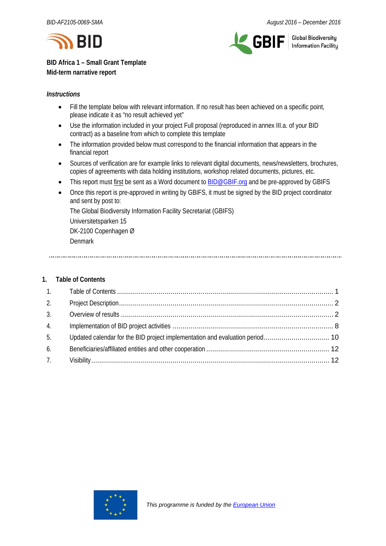



**Global Biodiversity** Information Facility

**BID Africa 1 – Small Grant Template Mid-term narrative report**

## *Instructions*

- Fill the template below with relevant information. If no result has been achieved on a specific point, please indicate it as "no result achieved yet"
- Use the information included in your project Full proposal (reproduced in annex III.a. of your BID contract) as a baseline from which to complete this template
- The information provided below must correspond to the financial information that appears in the financial report
- Sources of verification are for example links to relevant digital documents, news/newsletters, brochures, copies of agreements with data holding institutions, workshop related documents, pictures, etc.
- This report must first be sent as a Word document t[o BID@GBIF.org](mailto:BID@GBIF.org) and be pre-approved by GBIFS
- Once this report is pre-approved in writing by GBIFS, it must be signed by the BID project coordinator and sent by post to:

The Global Biodiversity Information Facility Secretariat (GBIFS) Universitetsparken 15 DK-2100 Copenhagen Ø Denmark

# <span id="page-0-0"></span>**1. Table of Contents**

<span id="page-0-1"></span>

| 2. |  |
|----|--|
| 3. |  |
| 4. |  |
| 5. |  |
| 6. |  |
| 7. |  |

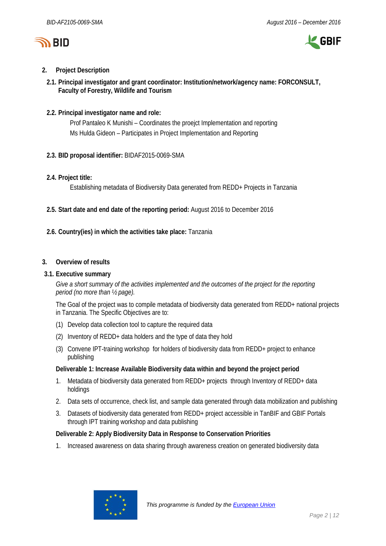



## **2. Project Description**

**2.1. Principal investigator and grant coordinator: Institution/network/agency name: FORCONSULT, Faculty of Forestry, Wildlife and Tourism**

## **2.2. Principal investigator name and role:**

Prof Pantaleo K Munishi – Coordinates the proejct Implementation and reporting Ms Hulda Gideon – Participates in Project Implementation and Reporting

**2.3. BID proposal identifier:** BIDAF2015-0069-SMA

## **2.4. Project title:**

Establishing metadata of Biodiversity Data generated from REDD+ Projects in Tanzania

- **2.5. Start date and end date of the reporting period:** August 2016 to December 2016
- **2.6. Country(ies) in which the activities take place:** Tanzania

## <span id="page-1-0"></span>**3. Overview of results**

## **3.1. Executive summary**

*Give a short summary of the activities implemented and the outcomes of the project for the reporting period (no more than ½ page).*

The Goal of the project was to compile metadata of biodiversity data generated from REDD+ national projects in Tanzania. The Specific Objectives are to:

- (1) Develop data collection tool to capture the required data
- (2) Inventory of REDD+ data holders and the type of data they hold
- (3) Convene IPT-training workshop for holders of biodiversity data from REDD+ project to enhance publishing

## **Deliverable 1: Increase Available Biodiversity data within and beyond the project period**

- 1. Metadata of biodiversity data generated from REDD+ projects through Inventory of REDD+ data holdings
- 2. Data sets of occurrence, check list, and sample data generated through data mobilization and publishing
- 3. Datasets of biodiversity data generated from REDD+ project accessible in TanBIF and GBIF Portals through IPT training workshop and data publishing

## **Deliverable 2: Apply Biodiversity Data in Response to Conservation Priorities**

1. Increased awareness on data sharing through awareness creation on generated biodiversity data

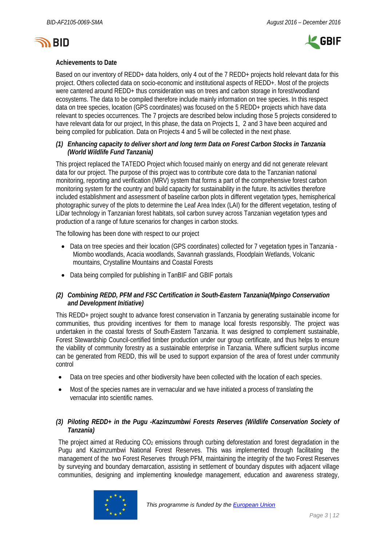



## **Achievements to Date**

Based on our inventory of REDD+ data holders, only 4 out of the 7 REDD+ projects hold relevant data for this project. Others collected data on socio-economic and institutional aspects of REDD+. Most of the projects were cantered around REDD+ thus consideration was on trees and carbon storage in forest/woodland ecosystems. The data to be compiled therefore include mainly information on tree species. In this respect data on tree species, location (GPS coordinates) was focused on the 5 REDD+ projects which have data relevant to species occurrences. The 7 projects are described below including those 5 projects considered to have relevant data for our project, In this phase, the data on Projects 1, 2 and 3 have been acquired and being compiled for publication. Data on Projects 4 and 5 will be collected in the next phase.

## *(1) Enhancing capacity to deliver short and long term Data on Forest Carbon Stocks in Tanzania (World Wildlife Fund Tanzania)*

This project replaced the TATEDO Project which focused mainly on energy and did not generate relevant data for our project. The purpose of this project was to contribute core data to the Tanzanian national monitoring, reporting and verification (MRV) system that forms a part of the comprehensive forest carbon monitoring system for the country and build capacity for sustainability in the future. Its activities therefore included establishment and assessment of baseline carbon plots in different vegetation types, hemispherical photographic survey of the plots to determine the Leaf Area Index (LAI) for the different vegetation, testing of LiDar technology in Tanzanian forest habitats, soil carbon survey across Tanzanian vegetation types and production of a range of future scenarios for changes in carbon stocks.

The following has been done with respect to our project

- Data on tree species and their location (GPS coordinates) collected for 7 vegetation types in Tanzania -Miombo woodlands, Acacia woodlands, Savannah grasslands, Floodplain Wetlands, Volcanic mountains, Crystalline Mountains and Coastal Forests
- Data being compiled for publishing in TanBIF and GBIF portals

## *(2) Combining REDD, PFM and FSC Certification in South-Eastern Tanzania(Mpingo Conservation and Development Initiative)*

This REDD+ project sought to advance forest conservation in Tanzania by generating sustainable income for communities, thus providing incentives for them to manage local forests responsibly. The project was undertaken in the coastal forests of South-Eastern Tanzania. It was designed to complement sustainable, Forest Stewardship Council-certified timber production under our group certificate, and thus helps to ensure the viability of community forestry as a sustainable enterprise in Tanzania. Where sufficient surplus income can be generated from REDD, this will be used to support expansion of the area of forest under community control

- Data on tree species and other biodiversity have been collected with the location of each species.
- Most of the species names are in vernacular and we have initiated a process of translating the vernacular into scientific names.

## *(3) Piloting REDD+ in the Pugu -Kazimzumbwi Forests Reserves (Wildlife Conservation Society of Tanzania)*

The project aimed at Reducing  $CO<sub>2</sub>$  emissions through curbing deforestation and forest degradation in the Pugu and Kazimzumbwi National Forest Reserves. This was implemented through facilitating the management of the two Forest Reserves through PFM, maintaining the integrity of the two Forest Reserves by surveying and boundary demarcation, assisting in settlement of boundary disputes with adjacent village communities, designing and implementing knowledge management, education and awareness strategy,

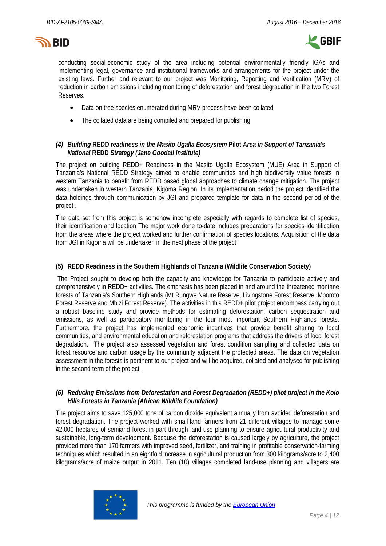



conducting social-economic study of the area including potential environmentally friendly IGAs and implementing legal, governance and institutional frameworks and arrangements for the project under the existing laws. Further and relevant to our project was Monitoring, Reporting and Verification (MRV) of reduction in carbon emissions including monitoring of deforestation and forest degradation in the two Forest Reserves.

- Data on tree species enumerated during MRV process have been collated
- The collated data are being compiled and prepared for publishing

## *(4) Building* **REDD** *readiness in the Masito Ugalla Ecosystem* **Pilot** *Area in Support of Tanzania's National* **REDD** *Strategy (Jane Goodall Institute)*

The project on building REDD+ Readiness in the Masito Ugalla Ecosystem (MUE) Area in Support of Tanzania's National REDD Strategy aimed to enable communities and high biodiversity value forests in western Tanzania to benefit from REDD based global approaches to climate change mitigation. The project was undertaken in western Tanzania, Kigoma Region. In its implementation period the project identified the data holdings through communication by JGI and prepared template for data in the second period of the project .

The data set from this project is somehow incomplete especially with regards to complete list of species, their identification and location The major work done to-date includes preparations for species identification from the areas where the project worked and further confirmation of species locations. Acquisition of the data from JGI in Kigoma will be undertaken in the next phase of the project

### **(5) REDD Readiness in the Southern Highlands of Tanzania (Wildlife Conservation Society)**

The Project sought to develop both the capacity and knowledge for Tanzania to participate actively and comprehensively in REDD+ activities. The emphasis has been placed in and around the threatened montane forests of Tanzania's Southern Highlands (Mt Rungwe Nature Reserve, Livingstone Forest Reserve, Mporoto Forest Reserve and Mbizi Forest Reserve). The activities in this REDD+ pilot project encompass carrying out a robust baseline study and provide methods for estimating deforestation, carbon sequestration and emissions, as well as participatory monitoring in the four most important Southern Highlands forests. Furthermore, the project has implemented economic incentives that provide benefit sharing to local communities, and environmental education and reforestation programs that address the drivers of local forest degradation. The project also assessed vegetation and forest condition sampling and collected data on forest resource and carbon usage by the community adjacent the protected areas. The data on vegetation assessment in the forests is pertinent to our project and will be acquired, collated and analysed for publishing in the second term of the project.

### *(6) Reducing Emissions from Deforestation and Forest Degradation (REDD+) pilot project in the Kolo Hills Forests in Tanzania (African Wildlife Foundation)*

The project aims to save 125,000 tons of carbon dioxide equivalent annually from avoided deforestation and forest degradation. The project worked with small-land farmers from 21 different villages to manage some 42,000 hectares of semiarid forest in part through land-use planning to ensure agricultural productivity and sustainable, long-term development. Because the deforestation is caused largely by agriculture, the project provided more than 170 farmers with improved seed, fertilizer, and training in profitable conservation-farming techniques which resulted in an eightfold increase in agricultural production from 300 kilograms/acre to 2,400 kilograms/acre of maize output in 2011. Ten (10) villages completed land-use planning and villagers are

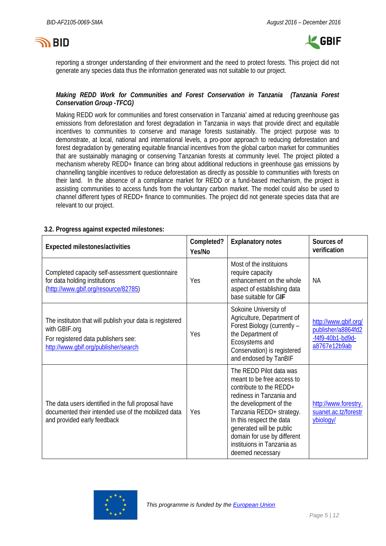# **SY BID**



reporting a stronger understanding of their environment and the need to protect forests. This project did not generate any species data thus the information generated was not suitable to our project.

## *Making REDD Work for Communities and Forest Conservation in Tanzania (Tanzania Forest Conservation Group -TFCG)*

Making REDD work for communities and forest conservation in Tanzania' aimed at reducing greenhouse gas emissions from deforestation and forest degradation in Tanzania in ways that provide direct and equitable incentives to communities to conserve and manage forests sustainably. The project purpose was to demonstrate, at local, national and international levels, a pro-poor approach to reducing deforestation and forest degradation by generating equitable financial incentives from the global carbon market for communities that are sustainably managing or conserving Tanzanian forests at community level. The project piloted a mechanism whereby REDD+ finance can bring about additional reductions in greenhouse gas emissions by channelling tangible incentives to reduce deforestation as directly as possible to communities with forests on their land. In the absence of a compliance market for REDD or a fund-based mechanism, the project is assisting communities to access funds from the voluntary carbon market. The model could also be used to channel different types of REDD+ finance to communities. The project did not generate species data that are relevant to our project.

### **3.2. Progress against expected milestones:**

| Expected milestones/activities                                                                                                                           | Completed?<br>Yes/No | <b>Explanatory notes</b>                                                                                                                                                                                                                                                                                     | Sources of<br>verification                                                       |
|----------------------------------------------------------------------------------------------------------------------------------------------------------|----------------------|--------------------------------------------------------------------------------------------------------------------------------------------------------------------------------------------------------------------------------------------------------------------------------------------------------------|----------------------------------------------------------------------------------|
| Completed capacity self-assessment questionnaire<br>for data holding institutions<br>(http://www.gbif.org/resource/82785)                                | Yes                  | Most of the instituions<br>require capacity<br>enhancement on the whole<br>aspect of establishing data<br>base suitable for GIF                                                                                                                                                                              | <b>NA</b>                                                                        |
| The instituton that will publish your data is registered<br>with GBIF.org<br>For registered data publishers see:<br>http://www.gbif.org/publisher/search | Yes                  | Sokoine University of<br>Agriculture, Department of<br>Forest Biology (currently -<br>the Department of<br>Ecosystems and<br>Conservation) is registered<br>and endosed by TanBIF                                                                                                                            | http://www.gbif.org/<br>publisher/a8864fd2<br>$-f4f9-40b1-bd9d-$<br>a8767e12b9ab |
| The data users identified in the full proposal have<br>documented their intended use of the mobilized data<br>and provided early feedback                | Yes                  | The REDD Pilot data was<br>meant to be free access to<br>contribute to the REDD+<br>rediness in Tanzania and<br>the develiopment of the<br>Tanzania REDD+ strategy.<br>In this respect the data<br>generated will be public<br>domain for use by different<br>instituions in Tanzania as<br>deemed necessary | http://www.forestry.<br>suanet.ac.tz/forestr<br>ybiology/                        |

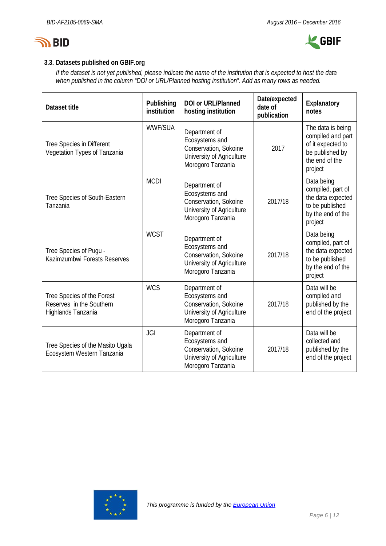



# **3.3. Datasets published on GBIF.org**

*If the dataset is not yet published, please indicate the name of the institution that is expected to host the data when published in the column "DOI or URL/Planned hosting institution". Add as many rows as needed.*

| Dataset title                                                                | Publishing<br>institution | <b>DOI or URL/Planned</b><br>hosting institution                                                           | Date/expected<br>date of<br>publication | Explanatory<br>notes                                                                                        |
|------------------------------------------------------------------------------|---------------------------|------------------------------------------------------------------------------------------------------------|-----------------------------------------|-------------------------------------------------------------------------------------------------------------|
| Tree Species in Different<br>Vegetation Types of Tanzania                    | <b>WWF/SUA</b>            | Department of<br>Ecosystems and<br>Conservation, Sokoine<br>University of Agriculture<br>Morogoro Tanzania | 2017                                    | The data is being<br>compiled and part<br>of it expected to<br>be published by<br>the end of the<br>project |
| Tree Species of South-Eastern<br>Tanzania                                    | <b>MCDI</b>               | Department of<br>Ecosystems and<br>Conservation, Sokoine<br>University of Agriculture<br>Morogoro Tanzania | 2017/18                                 | Data being<br>compiled, part of<br>the data expected<br>to be published<br>by the end of the<br>project     |
| Tree Species of Pugu -<br>Kazimzumbwi Forests Reserves                       | <b>WCST</b>               | Department of<br>Ecosystems and<br>Conservation, Sokoine<br>University of Agriculture<br>Morogoro Tanzania | 2017/18                                 | Data being<br>compiled, part of<br>the data expected<br>to be published<br>by the end of the<br>project     |
| Tree Species of the Forest<br>Reserves in the Southern<br>Highlands Tanzania | <b>WCS</b>                | Department of<br>Ecosystems and<br>Conservation, Sokoine<br>University of Agriculture<br>Morogoro Tanzania | 2017/18                                 | Data will be<br>compiled and<br>published by the<br>end of the project                                      |
| Tree Species of the Masito Ugala<br>Ecosystem Western Tanzania               | <b>JGI</b>                | Department of<br>Ecosystems and<br>Conservation, Sokoine<br>University of Agriculture<br>Morogoro Tanzania | 2017/18                                 | Data will be<br>collected and<br>published by the<br>end of the project                                     |

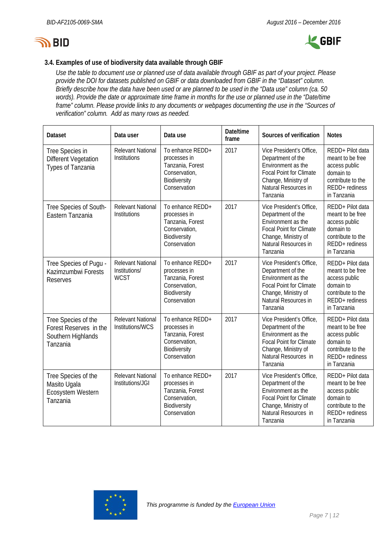



# **3.4. Examples of use of biodiversity data available through GBIF**

*Use the table to document use or planned use of data available through GBIF as part of your project. Please provide the DOI for datasets published on GBIF or data downloaded from GBIF in the "Dataset" column. Briefly describe how the data have been used or are planned to be used in the "Data use" column (ca. 50 words). Provide the date or approximate time frame in months for the use or planned use in the "Date/time frame" column. Please provide links to any documents or webpages documenting the use in the "Sources of verification" column. Add as many rows as needed.*

| <b>Dataset</b>                                                                  | Data user                                                | Data use                                                                                              | Date/time<br>frame | Sources of verification                                                                                                                                          | <b>Notes</b>                                                                                                             |
|---------------------------------------------------------------------------------|----------------------------------------------------------|-------------------------------------------------------------------------------------------------------|--------------------|------------------------------------------------------------------------------------------------------------------------------------------------------------------|--------------------------------------------------------------------------------------------------------------------------|
| Tree Species in<br><b>Different Vegetation</b><br>Types of Tanzania             | <b>Relevant National</b><br><b>Institutions</b>          | To enhance REDD+<br>processes in<br>Tanzania, Forest<br>Conservation,<br>Biodiversity<br>Conservation | 2017               | Vice President's Office,<br>Department of the<br>Environment as the<br><b>Focal Point for Climate</b><br>Change, Ministry of<br>Natural Resources in<br>Tanzania | REDD+ Pilot data<br>meant to be free<br>access public<br>domain to<br>contribute to the<br>REDD+ rediness<br>in Tanzania |
| Tree Species of South-<br>Eastern Tanzania                                      | <b>Relevant National</b><br>Institutions                 | To enhance REDD+<br>processes in<br>Tanzania, Forest<br>Conservation,<br>Biodiversity<br>Conservation | 2017               | Vice President's Office,<br>Department of the<br>Environment as the<br><b>Focal Point for Climate</b><br>Change, Ministry of<br>Natural Resources in<br>Tanzania | REDD+ Pilot data<br>meant to be free<br>access public<br>domain to<br>contribute to the<br>REDD+ rediness<br>in Tanzania |
| Tree Species of Pugu -<br>Kazimzumbwi Forests<br><b>Reserves</b>                | <b>Relevant National</b><br>Institutions/<br><b>WCST</b> | To enhance REDD+<br>processes in<br>Tanzania, Forest<br>Conservation,<br>Biodiversity<br>Conservation | 2017               | Vice President's Office,<br>Department of the<br>Environment as the<br><b>Focal Point for Climate</b><br>Change, Ministry of<br>Natural Resources in<br>Tanzania | REDD+ Pilot data<br>meant to be free<br>access public<br>domain to<br>contribute to the<br>REDD+ rediness<br>in Tanzania |
| Tree Species of the<br>Forest Reserves in the<br>Southern Highlands<br>Tanzania | <b>Relevant National</b><br>Institutions/WCS             | To enhance REDD+<br>processes in<br>Tanzania, Forest<br>Conservation,<br>Biodiversity<br>Conservation | 2017               | Vice President's Office,<br>Department of the<br>Environment as the<br><b>Focal Point for Climate</b><br>Change, Ministry of<br>Natural Resources in<br>Tanzania | REDD+ Pilot data<br>meant to be free<br>access public<br>domain to<br>contribute to the<br>REDD+ rediness<br>in Tanzania |
| Tree Species of the<br>Masito Ugala<br>Ecosystem Western<br>Tanzania            | <b>Relevant National</b><br>Institutions/JGI             | To enhance REDD+<br>processes in<br>Tanzania, Forest<br>Conservation,<br>Biodiversity<br>Conservation | 2017               | Vice President's Office,<br>Department of the<br>Environment as the<br><b>Focal Point for Climate</b><br>Change, Ministry of<br>Natural Resources in<br>Tanzania | REDD+ Pilot data<br>meant to be free<br>access public<br>domain to<br>contribute to the<br>REDD+ rediness<br>in Tanzania |

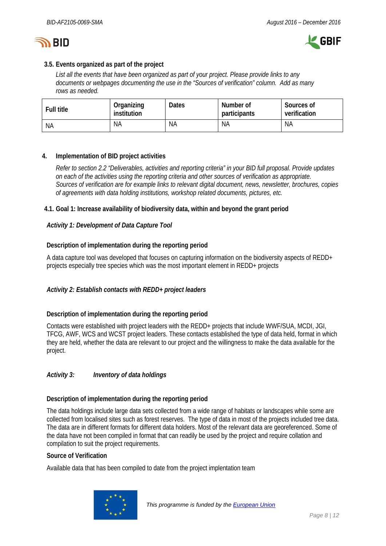



## **3.5. Events organized as part of the project**

*List all the events that have been organized as part of your project. Please provide links to any documents or webpages documenting the use in the "Sources of verification" column. Add as many rows as needed.*

| <b>Full title</b> | Organizing<br>institution | <b>Dates</b> | Number of<br>participants | Sources of<br>verification |
|-------------------|---------------------------|--------------|---------------------------|----------------------------|
| <b>NA</b>         | <b>NA</b>                 | <b>NA</b>    | <b>NA</b>                 | NA                         |

## <span id="page-7-0"></span>**4. Implementation of BID project activities**

*Refer to section 2.2 "Deliverables, activities and reporting criteria" in your BID full proposal. Provide updates on each of the activities using the reporting criteria and other sources of verification as appropriate. Sources of verification are for example links to relevant digital document, news, newsletter, brochures, copies of agreements with data holding institutions, workshop related documents, pictures, etc.*

## **4.1. Goal 1: Increase availability of biodiversity data, within and beyond the grant period**

### *Activity 1: Development of Data Capture Tool*

## **Description of implementation during the reporting period**

A data capture tool was developed that focuses on capturing information on the biodiversity aspects of REDD+ projects especially tree species which was the most important element in REDD+ projects

## *Activity 2: Establish contacts with REDD+ project leaders*

#### **Description of implementation during the reporting period**

Contacts were established with project leaders with the REDD+ projects that include WWF/SUA, MCDI, JGI, TFCG, AWF, WCS and WCST project leaders. These contacts established the type of data held, format in which they are held, whether the data are relevant to our project and the willingness to make the data available for the project.

## *Activity 3: Inventory of data holdings*

#### **Description of implementation during the reporting period**

The data holdings include large data sets collected from a wide range of habitats or landscapes while some are collected from localised sites such as forest reserves. The type of data in most of the projects included tree data. The data are in different formats for different data holders. Most of the relevant data are georeferenced. Some of the data have not been compiled in format that can readily be used by the project and require collation and compilation to suit the project requirements.

#### **Source of Verification**

Available data that has been compiled to date from the project implentation team

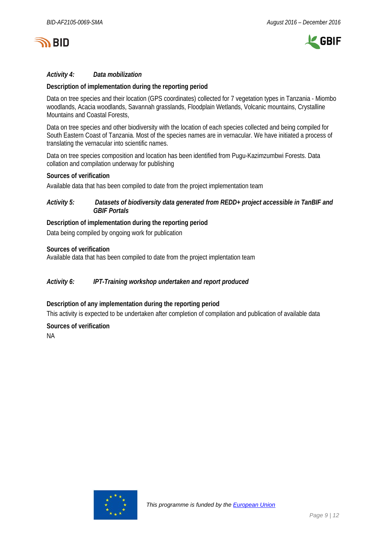



## *Activity 4: Data mobilization*

### **Description of implementation during the reporting period**

Data on tree species and their location (GPS coordinates) collected for 7 vegetation types in Tanzania - Miombo woodlands, Acacia woodlands, Savannah grasslands, Floodplain Wetlands, Volcanic mountains, Crystalline Mountains and Coastal Forests,

Data on tree species and other biodiversity with the location of each species collected and being compiled for South Eastern Coast of Tanzania. Most of the species names are in vernacular. We have initiated a process of translating the vernacular into scientific names.

Data on tree species composition and location has been identified from Pugu-Kazimzumbwi Forests. Data collation and compilation underway for publishing

#### **Sources of verification**

Available data that has been compiled to date from the project implementation team

#### *Activity 5: Datasets of biodiversity data generated from REDD+ project accessible in TanBIF and GBIF Portals*

#### **Description of implementation during the reporting period**

Data being compiled by ongoing work for publication

#### **Sources of verification**

Available data that has been compiled to date from the project implentation team

#### *Activity 6: IPT-Training workshop undertaken and report produced*

#### **Description of any implementation during the reporting period**

This activity is expected to be undertaken after completion of compilation and publication of available data

#### **Sources of verification**

NA

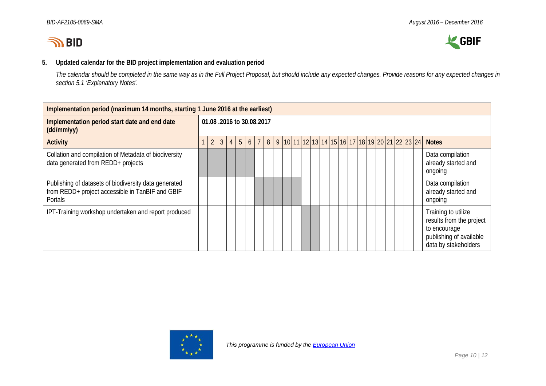



## **5. Updated calendar for the BID project implementation and evaluation period**

*The calendar should be completed in the same way as in the Full Project Proposal, but should include any expected changes. Provide reasons for any expected changes in section 5.1 'Explanatory Notes'.*

<span id="page-9-0"></span>

| Implementation period (maximum 14 months, starting 1 June 2016 at the earliest)                                             |  |                          |                |                |                |  |        |  |  |  |  |                                                  |  |  |  |  |  |                                                                                                                    |
|-----------------------------------------------------------------------------------------------------------------------------|--|--------------------------|----------------|----------------|----------------|--|--------|--|--|--|--|--------------------------------------------------|--|--|--|--|--|--------------------------------------------------------------------------------------------------------------------|
| Implementation period start date and end date<br>(dd/mm/yy)                                                                 |  | 01.08.2016 to 30.08.2017 |                |                |                |  |        |  |  |  |  |                                                  |  |  |  |  |  |                                                                                                                    |
| <b>Activity</b>                                                                                                             |  | $\overline{2}$           | $\overline{3}$ | $\overline{4}$ | 5 <sup>1</sup> |  | $6 7 $ |  |  |  |  | 8 9 10 11 12 13 14 15 16 17 18 19 20 21 22 23 24 |  |  |  |  |  | <b>Notes</b>                                                                                                       |
| Collation and compilation of Metadata of biodiversity<br>data generated from REDD+ projects                                 |  |                          |                |                |                |  |        |  |  |  |  |                                                  |  |  |  |  |  | Data compilation<br>already started and<br>ongoing                                                                 |
| Publishing of datasets of biodiversity data generated<br>from REDD+ project accessible in TanBIF and GBIF<br><b>Portals</b> |  |                          |                |                |                |  |        |  |  |  |  |                                                  |  |  |  |  |  | Data compilation<br>already started and<br>ongoing                                                                 |
| IPT-Training workshop undertaken and report produced                                                                        |  |                          |                |                |                |  |        |  |  |  |  |                                                  |  |  |  |  |  | Training to utilize<br>results from the project<br>to encourage<br>publishing of available<br>data by stakeholders |

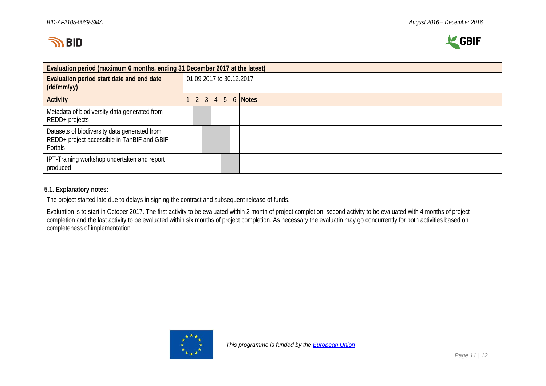



| Evaluation period (maximum 6 months, ending 31 December 2017 at the latest)                            |  |  |                          |  |  |  |                              |  |  |  |  |  |  |  |  |  |
|--------------------------------------------------------------------------------------------------------|--|--|--------------------------|--|--|--|------------------------------|--|--|--|--|--|--|--|--|--|
| Evaluation period start date and end date<br>(dd/mm/yy)                                                |  |  | 01.09.2017 to 30.12.2017 |  |  |  |                              |  |  |  |  |  |  |  |  |  |
| <b>Activity</b>                                                                                        |  |  | 2 3                      |  |  |  | $4 \mid 5 \mid 6 \mid$ Notes |  |  |  |  |  |  |  |  |  |
| Metadata of biodiversity data generated from<br>REDD+ projects                                         |  |  |                          |  |  |  |                              |  |  |  |  |  |  |  |  |  |
| Datasets of biodiversity data generated from<br>REDD+ project accessible in TanBIF and GBIF<br>Portals |  |  |                          |  |  |  |                              |  |  |  |  |  |  |  |  |  |
| IPT-Training workshop undertaken and report<br>produced                                                |  |  |                          |  |  |  |                              |  |  |  |  |  |  |  |  |  |

## **5.1. Explanatory notes:**

The project started late due to delays in signing the contract and subsequent release of funds.

Evaluation is to start in October 2017. The first activity to be evaluated within 2 month of project completion, second activity to be evaluated with 4 months of project completion and the last activity to be evaluated within six months of project completion. As necessary the evaluatin may go concurrently for both activities based on completeness of implementation